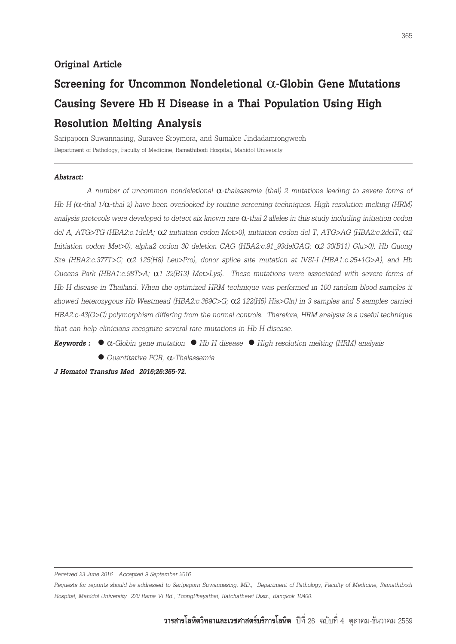## **Original Article**

## **Screening for Uncommon Nondeletional**  $\alpha$ **-Globin Gene Mutations Causing Severe Hb H Disease in a Thai Population Using High Resolution Melting Analysis**

Saripaporn Suwannasing, Suravee Sroymora, and Sumalee Jindadamrongwech Department of Pathology, Faculty of Medicine, Ramathibodi Hospital, Mahidol University

#### *Abstract:*

*A number of uncommon nondeletional* α*-thalassemia (thal) 2 mutations leading to severe forms of Hb H (*α*-thal 1/*α*-thal 2) have been overlooked by routine screening techniques. High resolution melting (HRM) analysis protocols were developed to detect six known rare* α*-thal 2 alleles in this study including initiation codon del A, ATG>TG (HBA2:c.1delA;* α*2 initiation codon Met>0), initiation codon del T, ATG>AG (HBA2:c.2delT;* α*2 Initiation codon Met>0), alpha2 codon 30 deletion CAG (HBA2:c.91\_93delGAG;* α*2 30(B11) Glu>0), Hb Quong Sze (HBA2:c.377T>C;* α*2 125(H8) Leu>Pro), donor splice site mutation at IVSI-I (HBA1:c.95+1G>A), and Hb Queens Park (HBA1:c.98T>A;* α*1 32(B13) Met>Lys). These mutations were associated with severe forms of Hb H disease in Thailand. When the optimized HRM technique was performed in 100 random blood samples it showed heterozygous Hb Westmead (HBA2:c.369C>G;* α*2 122(H5) His>Gln) in 3 samples and 5 samples carried HBA2:c-43(G>C) polymorphism differing from the normal controls. Therefore, HRM analysis is a useful technique that can help clinicians recognize several rare mutations in Hb H disease.*

*Keywords :* l α*-Globin gene mutation* l *Hb H disease* l *High resolution melting (HRM) analysis*

l *Quantitative PCR,* α*-Thalassemia*

*J Hematol Transfus Med 2016;26:365-72.*

*Received 23 June 2016 Accepted 9 September 2016*

*Requests for reprints should be addressed to Saripaporn Suwannasing, MD., Department of Pathology, Faculty of Medicine, Ramathibodi Hospital, Mahidol University 270 Rama VI Rd., ToongPhayathai, Ratchathewi Distr., Bangkok 10400.*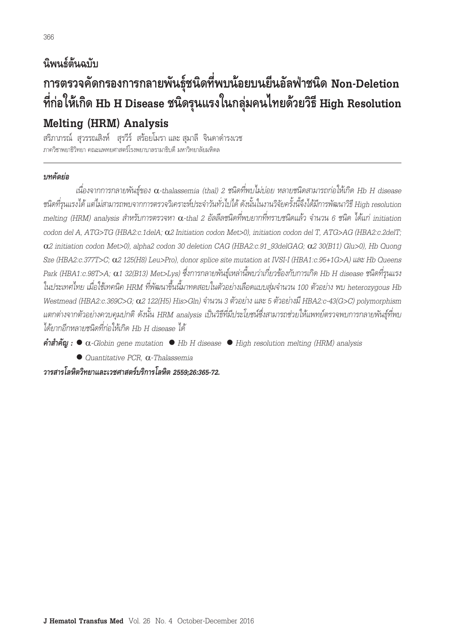# **นิพนธ์ต้นฉบับ การตรวจคัดกรองการกลายพันธุ์ชนิดที่พบน้อยบนยีนอัลฟ่าชนิด Non-Deletion ที่ก่อให้เกิด Hb H Disease ชนิดรุนแรงในกลุ่มคนไทยด้วยวิธี High Resolution Melting (HRM) Analysis**

สริภาภรณ์ สวรรณสิงห์ สุรวีร์ สร้อยโมรา และ สมาลี จินดาดำรงเวช ภาควิชาพยาธิวิทยา คณะแพทยศาสตร์โรงพยาบาลรามาธิบดี มหาวิทยาลัยมหิดล

## *บทคัดย่อ*

*เนื่องจากการกลายพันธุ์ของ* α*-thalassemia (thal) 2 ชนิดที่พบไม่บ่อย หลายชนิดสามารถก่อให้เกิด Hb H disease ชนิดที่รุนแรงได้ แต่ไม่สามารถพบจากการตรวจวิเคราะห์ประจ�ำวันทั่วไปได้ ดังนั้นในงานวิจัยครั้งนี้จึงได้มีการพัฒนาวิธี High resolution melting (HRM) analysis ส�ำหรับการตรวจหา* α*-thal 2 อัลลีลชนิดที่พบยากที่ทราบชนิดแล้ว จ�ำนวน 6 ชนิด ได้แก่ initiation codon del A, ATG>TG (HBA2:c.1delA;* α*2 Initiation codon Met>0), initiation codon del T, ATG>AG (HBA2:c.2delT;*  α*2 initiation codon Met>0), alpha2 codon 30 deletion CAG (HBA2:c.91\_93delGAG;* α*2 30(B11) Glu>0), Hb Quong Sze (HBA2:c.377T>C;* α*2 125(H8) Leu>Pro), donor splice site mutation at IVSI-I (HBA1:c.95+1G>A) และ Hb Queens Park (HBA1:c.98T>A;* α*1 32(B13) Met>Lys) ซึ่งการกลายพันธุ์เหล่านี้พบว่าเกี่ยวข้องกับการเกิด Hb H disease ชนิดที่รุนแรง ในประเทศไทย เมื่อใช้เทคนิค HRM ที่พัฒนาขึ้นนี้มาทดสอบในตัวอย่างเลือดแบบสุ่มจ�ำนวน 100 ตัวอย่าง พบ heterozygous Hb Westmead (HBA2:c.369C>G;* α*2 122(H5) His>Gln) จ�ำนวน 3 ตัวอย่าง และ 5 ตัวอย่างมี HBA2:c-43(G>C) polymorphism แตกต่างจากตัวอย่างควบคุมปกติ ดังนั้น HRM analysis เป็นวิธีที่มีประโยชน์ซึ่งสามารถช่วยให้แพทย์ตรวจพบการกลายพันธุ์ที่พบ ได้ยากอีกหลายชนิดที่ก่อให้เกิด Hb H disease ได้*

*คำ�สำ�คัญ :* l α*-Globin gene mutation* l *Hb H disease* l *High resolution melting (HRM) analysis*

l *Quantitative PCR,* α*-Thalassemia*

*วารสารโลหิตวิทยาและเวชศาสตรบริการโลหิต 2559;26:365-72.*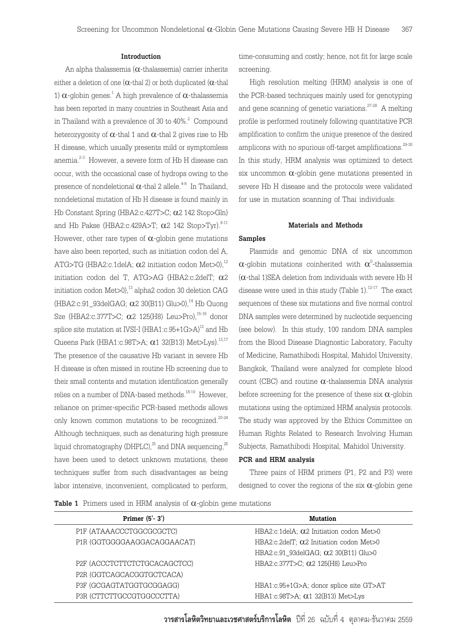#### **Introduction**

An alpha thalassemia  $(\alpha$ -thalassemia) carrier inherits either a deletion of one ( $\alpha$ -thal 2) or both duplicated ( $\alpha$ -thal 1)  $\alpha$ -globin genes.<sup>1</sup> A high prevalence of  $\alpha$ -thalassemia has been reported in many countries in Southeast Asia and in Thailand with a prevalence of 30 to 40%. $^2$  Compound heterozygosity of  $\alpha$ -thal 1 and  $\alpha$ -thal 2 gives rise to Hb H disease, which usually presents mild or symptomless anemia.<sup>2-3</sup> However, a severe form of Hb H disease can occur, with the occasional case of hydrops owing to the presence of nondeletional  $\alpha$ -thal 2 allele.<sup>4-8</sup> In Thailand, nondeletional mutation of Hb H disease is found mainly in Hb Constant Spring (HBA2:c.427T>C; α2 142 Stop>Gln) and Hb Pakse (HBA2:c.429A>T;  $\alpha$ 2 142 Stop>Tyr).<sup>9-11</sup> However, other rare types of  $\alpha$ -globin gene mutations have also been reported, such as initiation codon del A, ATG>TG (HBA2:c.1delA:  $\alpha$ 2 initiation codon Met>0).<sup>12</sup> initiation codon del T, ATG>AG (HBA2:c.2delT; α2 initiation codon  $Met>0)$ ,<sup>13</sup> alpha2 codon 30 deletion CAG (HBA2:c.91\_93delGAG;  $\alpha$ 2 30(B11) Glu>0),<sup>14</sup> Hb Quong Sze (HBA2:c.377T>C;  $\alpha$ 2 125(H8) Leu>Pro),<sup>15-16</sup> donor splice site mutation at IVSI-I (HBA1:c.95+1G>A)<sup>12</sup> and Hb Queens Park (HBA1:c.98T>A;  $\alpha$ 1 32(B13) Met>Lys).<sup>12,17</sup> The presence of the causative Hb variant in severe Hb H disease is often missed in routine Hb screening due to their small contents and mutation identification generally relies on a number of DNA-based methods.<sup>18-19</sup> However, reliance on primer-specific PCR-based methods allows only known common mutations to be recognized. 20-24 Although techniques, such as denaturing high pressure liquid chromatography (DHPLC),<sup>25</sup> and DNA sequencing,<sup>26</sup> have been used to detect unknown mutations, these techniques suffer from such disadvantages as being labor intensive, inconvenient, complicated to perform,

time-consuming and costly; hence, not fit for large scale screening.

High resolution melting (HRM) analysis is one of the PCR-based techniques mainly used for genotyping and gene scanning of genetic variations.<sup>27-28</sup> A melting profile is performed routinely following quantitative PCR amplification to confirm the unique presence of the desired amplicons with no spurious off-target amplifications.<sup>29-30</sup> In this study, HRM analysis was optimized to detect six uncommon  $\alpha$ -globin gene mutations presented in severe Hb H disease and the protocols were validated for use in mutation scanning of Thai individuals.

#### **Materials and Methods**

## **Samples**

Plasmids and genomic DNA of six uncommon  $\alpha$ -globin mutations coinherited with  $\alpha^\circ$ -thalassemia  $(\alpha$ -thal 1)SEA deletion from individuals with severe Hb H disease were used in this study (Table  $1$ ).<sup>12-17</sup> The exact sequences of these six mutations and five normal control DNA samples were determined by nucleotide sequencing (see below). In this study, 100 random DNA samples from the Blood Disease Diagnostic Laboratory, Faculty of Medicine, Ramathibodi Hospital, Mahidol University, Bangkok, Thailand were analyzed for complete blood count (CBC) and routine  $\alpha$ -thalassemia DNA analysis before screening for the presence of these six  $\alpha$ -globin mutations using the optimized HRM analysis protocols. The study was approved by the Ethics Committee on Human Rights Related to Research Involving Human Subjects, Ramathibodi Hospital, Mahidol University.

#### **PCR and HRM analysis**

Three pairs of HRM primers (P1, P2 and P3) were designed to cover the regions of the six  $\alpha$ -globin gene

**Table 1** Primers used in HRM analysis of α-globin gene mutations

| Primer $(5' - 3')$           | <b>Mutation</b>                                 |
|------------------------------|-------------------------------------------------|
| P1F (ATAAACCCTGGCGCGCTC)     | HBA2:c.1delA; Q2 Initiation codon Met>0         |
| P1R (GGTGGGGAAGGACAGGAACAT)  | HBA2:c.2delT; $\alpha$ 2 Initiation codon Met>0 |
|                              | HBA2:c.91 93delGAG; α2 30(B11) Glu>0            |
| P2F (ACCCTCTTCTCTGCACAGCTCC) | HBA2:c.377T>C; α2 125(H8) Leu>Pro               |
| P2R (GGTCAGCACGGTGCTCACA)    |                                                 |
| P3F (GCGAGTATGGTGCGGAGG)     | HBA1:c.95+1G>A; donor splice site GT>AT         |
| P3R (CTTCTTGCCGTGGCCCTTA)    | HBA1:c.98T>A; α1 32(B13) Met>Lys                |

**วารสารโลหิตวิทยาและเวชศาสตรบริการโลหิต** ปที่ 26 ฉบับที่ 4 ตุลาคม-ธันวาคม 2559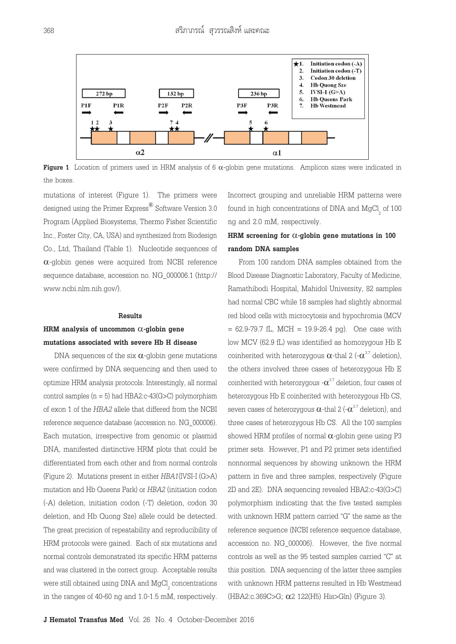

**Figure 1** Location of primers used in HRM analysis of 6  $α$ -globin gene mutations. Amplicon sizes were indicated in the boxes.

mutations of interest (Figure 1). The primers were designed using the Primer Express<sup>®</sup> Software Version 3.0 Program (Applied Biosystems, Thermo Fisher Scientific Inc., Foster City, CA, USA) and synthesized from Biodesign Co., Ltd, Thailand (Table 1). Nucleotide sequences of α-globin genes were acquired from NCBI reference sequence database, accession no. NG\_000006.1 ([http://](http://www.ncbi.nlm.nih.gov/) [www.ncbi.nlm.nih.gov/\)](http://www.ncbi.nlm.nih.gov/).

#### **Results**

## **HRM analysis of uncommon** α**-globin gene mutations associated with severe Hb H disease**

DNA sequences of the six  $\alpha$ -globin gene mutations were confirmed by DNA sequencing and then used to optimize HRM analysis protocols. Interestingly, all normal control samples  $(n = 5)$  had HBA2:c-43(G>C) polymorphism of exon 1 of the *HBA2* allele that differed from the NCBI reference sequence database (accession no. NG\_000006). Each mutation, irrespective from genomic or plasmid DNA, manifested distinctive HRM plots that could be differentiated from each other and from normal controls (Figure 2). Mutations present in either *HBA1*(IVSI-I (G>A) mutation and Hb Queens Park) or *HBA2* (initiation codon (-A) deletion, initiation codon (-T) deletion, codon 30 deletion, and Hb Quong Sze) allele could be detected. The great precision of repeatability and reproducibility of HRM protocols were gained. Each of six mutations and normal controls demonstrated its specific HRM patterns and was clustered in the correct group. Acceptable results were still obtained using DNA and  ${ {\rm MgCl}_2}$  concentrations in the ranges of 40-60 ng and 1.0-1.5 mM, respectively.

Incorrect grouping and unreliable HRM patterns were found in high concentrations of DNA and  $MgCl_{\frac{1}{2}}$  of 100 ng and 2.0 mM, respectively.

## **HRM screening for** α**-globin gene mutations in 100 random DNA samples**

From 100 random DNA samples obtained from the Blood Disease Diagnostic Laboratory, Faculty of Medicine, Ramathibodi Hospital, Mahidol University, 82 samples had normal CBC while 18 samples had slightly abnormal red blood cells with microcytosis and hypochromia (MCV  $= 62.9 - 79.7$  fL, MCH  $= 19.9 - 26.4$  pg). One case with low MCV (62.9 fL) was identified as homozygous Hb E coinherited with heterozygous  $\alpha$ -thal 2 (- $\alpha^{3.7}$  deletion), the others involved three cases of heterozygous Hb E coinherited with heterozygous  $-\alpha^{3.7}$  deletion, four cases of heterozygous Hb E coinherited with heterozygous Hb CS, seven cases of heterozygous  $\alpha$ -thal 2 (- $\alpha^{3.7}$  deletion), and three cases of heterozygous Hb CS. All the 100 samples showed HRM profiles of normal  $\alpha$ -globin gene using P3 primer sets. However, P1 and P2 primer sets identified nonnormal sequences by showing unknown the HRM pattern in five and three samples, respectively (Figure 2D and 2E). DNA sequencing revealed HBA2:c-43(G>C) polymorphism indicating that the five tested samples with unknown HRM pattern carried "G" the same as the reference sequence (NCBI reference sequence database, accession no. NG\_000006). However, the five normal controls as well as the 95 tested samples carried "C" at this position. DNA sequencing of the latter three samples with unknown HRM patterns resulted in Hb Westmead (HBA2:c.369C>G; α2 122(H5) His>Gln) (Figure 3).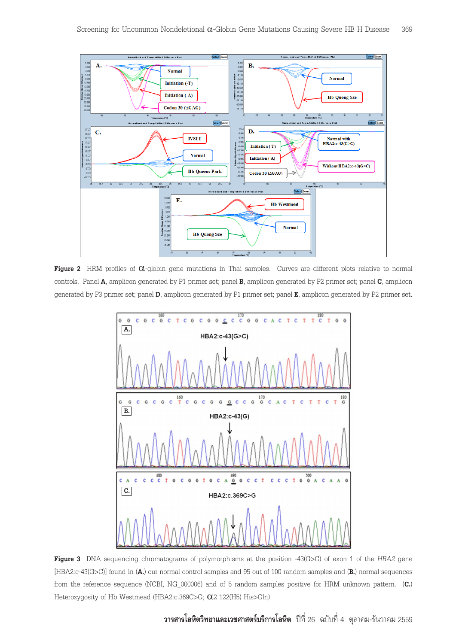

**Figure 2** HRM profiles of α-globin gene mutations in Thai samples. Curves are different plots relative to normal controls. Panel **A**, amplicon generated by P1 primer set; panel **B**, amplicon generated by P2 primer set; panel **C**, amplicon generated by P3 primer set; panel **D**, amplicon generated by P1 primer set; panel **E**, amplicon generated by P2 primer set.



**Figure 3** DNA sequencing chromatograms of polymorphisms at the position -43(G>C) of exon 1 of the *HBA2* gene [HBA2:c-43(G>C)] found in (**A.**) our normal control samples and 95 out of 100 random samples and (**B.**) normal sequences from the reference sequence (NCBI, NG\_000006) and of 5 random samples positive for HRM unknown pattern. (**C.**) Heterozygosity of Hb Westmead (HBA2:c.369C>G; α2 122(H5) His>Gln)

**วารสารโลหิตวิทยาและเวชศาสตรบริการโลหิต** ปที่ 26 ฉบับที่ 4 ตุลาคม-ธันวาคม 2559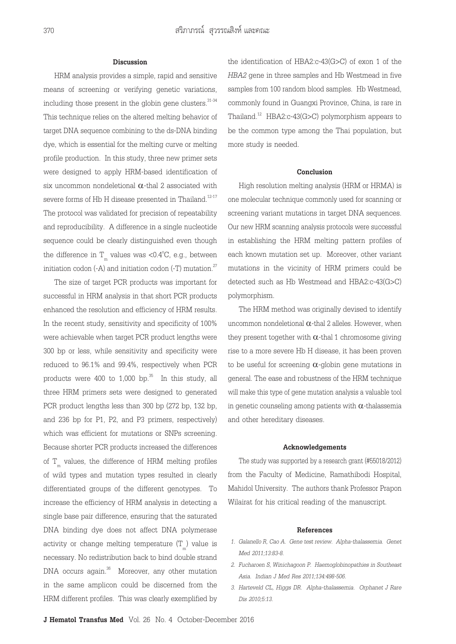#### **Discussion**

HRM analysis provides a simple, rapid and sensitive means of screening or verifying genetic variations, including those present in the globin gene clusters. $31-34$ This technique relies on the altered melting behavior of target DNA sequence combining to the ds-DNA binding dye, which is essential for the melting curve or melting profile production. In this study, three new primer sets were designed to apply HRM-based identification of six uncommon nondeletional  $\alpha$ -thal 2 associated with severe forms of Hb H disease presented in Thailand.<sup>12-17</sup> The protocol was validated for precision of repeatability and reproducibility. A difference in a single nucleotide sequence could be clearly distinguished even though the difference in  $\rm T_{\rm m}$  values was <0.4°C, e.g., between initiation codon  $(-A)$  and initiation codon  $(-T)$  mutation.<sup>27</sup>

The size of target PCR products was important for successful in HRM analysis in that short PCR products enhanced the resolution and efficiency of HRM results. In the recent study, sensitivity and specificity of 100% were achievable when target PCR product lengths were 300 bp or less, while sensitivity and specificity were reduced to 96.1% and 99.4%, respectively when PCR products were  $400$  to  $1,000$  bp.<sup>35</sup> In this study, all three HRM primers sets were designed to generated PCR product lengths less than 300 bp (272 bp, 132 bp, and 236 bp for P1, P2, and P3 primers, respectively) which was efficient for mutations or SNPs screening. Because shorter PCR products increased the differences of  $\mathcal{T}_{_{\mathrm{m}}}$  values, the difference of HRM melting profiles of wild types and mutation types resulted in clearly differentiated groups of the different genotypes. To increase the efficiency of HRM analysis in detecting a single base pair difference, ensuring that the saturated DNA binding dye does not affect DNA polymerase activity or change melting temperature  $(\text{T}_{_{\text{m}}})$  value is necessary. No redistribution back to bind double strand DNA occurs again.<sup>36</sup> Moreover, any other mutation in the same amplicon could be discerned from the HRM different profiles. This was clearly exemplified by

the identification of HBA2:c-43(G>C) of exon 1 of the *HBA2* gene in three samples and Hb Westmead in five samples from 100 random blood samples. Hb Westmead, commonly found in Guangxi Province, China, is rare in Thailand.<sup>12</sup> HBA2:c-43(G>C) polymorphism appears to be the common type among the Thai population, but more study is needed.

#### **Conclusion**

High resolution melting analysis (HRM or HRMA) is one molecular technique commonly used for scanning or screening variant mutations in target DNA sequences. Our new HRM scanning analysis protocols were successful in establishing the HRM melting pattern profiles of each known mutation set up. Moreover, other variant mutations in the vicinity of HRM primers could be detected such as Hb Westmead and HBA2:c-43(G>C) polymorphism.

The HRM method was originally devised to identify uncommon nondeletional  $\alpha$ -thal 2 alleles. However, when they present together with  $\alpha$ -thal 1 chromosome giving rise to a more severe Hb H disease, it has been proven to be useful for screening  $\alpha$ -globin gene mutations in general. The ease and robustness of the HRM technique will make this type of gene mutation analysis a valuable tool in genetic counseling among patients with  $\alpha$ -thalassemia and other hereditary diseases.

#### **Acknowledgements**

The study was supported by a research grant (#55018/2012) from the Faculty of Medicine, Ramathibodi Hospital, Mahidol University. The authors thank Professor Prapon Wilairat for his critical reading of the manuscript.

#### **References**

- *1. Galanello R, Cao A. Gene test review. Alpha-thalassemia. Genet Med 2011;13:83-8.*
- *2. Fucharoen S, Winichagoon P. Haemoglobinopathies in Southeast Asia. Indian J Med Res 2011;134:498-506.*
- *3. Harteveld CL, Higgs DR. Alpha-thalassemia. Orphanet J Rare Dis 2010;5:13.*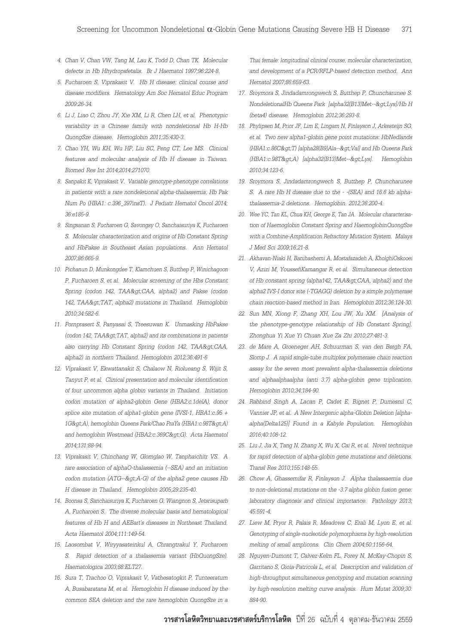- *4. Chan V, Chan VW, Tang M, Lau K, Todd D, Chan TK. Molecular defects in Hb Hhydropsfetalis. Br J Haematol 1997;96:224-8.*
- *5. Fucharoen S, Viprakasit V. Hb H disease: clinical course and disease modifiers. Hematology Am Soc Hematol Educ Program 2009:26-34.*
- *6. Li J, Liao C, Zhou JY, Xie XM, Li R, Chen LH, et al. Phenotypic variability in a Chinese family with nondeletional Hb H-Hb QuongSze disease. Hemoglobin 2011;35:430-3.*
- *7. Chao YH, Wu KH, Wu HP, Liu SC, Peng CT, Lee MS. Clinical features and molecular analysis of Hb H disease in Taiwan. Biomed Res Int 2014;2014:271070.*
- *8. Sanpakit K, Viprakasit V. Variable genotype-phenotype correlations in patients with a rare nondeletional alpha-thalassemia; Hb Pak Num Po (HBA1: c.396\_397insT). J Pediatr Hematol Oncol 2014; 36:e185-9.*
- *9. Singsanan S, Fucharoen G, Savongsy O, Sanchaisuriya K, Fucharoen S. Molecular characterization and origins of Hb Constant Spring and HbPakse in Southeast Asian populations. Ann Hematol 2007;86:665-9.*
- *10. Pichanun D, Munkongdee T, Klamchuen S, Butthep P, Winichagoon P, Fucharoen S, et al. Molecular screening of the Hbs Constant*  Spring (codon 142, TAA>CAA, alpha2) and Pakse (codon 142, TAA>TAT, alpha2) mutations in Thailand. Hemoglobin *2010;34:582-6.*
- *11. Pornprasert S, Panyasai S, Treesuwan K. Unmasking HbPakse (codon 142, TAA>TAT, alpha2) and its combinations in patients* also carrying Hb Constant Spring (codon 142, TAA>CAA, *alpha2) in northern Thailand. Hemoglobin 2012;36:491-6*
- *12. Viprakasit V, Ekwattanakit S, Chalaow N, Riolueang S, Wijit S, Tanyut P, et al. Clinical presentation and molecular identification of four uncommon alpha globin variants in Thailand. Initiation codon mutation of alpha2-globin Gene (HBA2:c.1delA), donor splice site mutation of alpha1-globin gene (IVSI-1, HBA1:c.95 +*  1G&at:A), hemoglobin Queens Park/Chao PraYa (HBA1:c.98T&at:A) and hemoglobin Westmead (HBA2:c.369C>G). Acta Haematol *2014;131:88-94.*
- *13. Viprakasit V, Chinchang W, Glomglao W, Tanphaichitr VS. A rare association of alphaO-thalassemia (--SEA) and an initiation codon mutation (ATG-->A-G) of the alpha2 gene causes Hb H disease in Thailand. Hemoglobin 2005;29:235-40.*
- *14. Boonsa S, Sanchaisuriya K, Fucharoen G, Wiangnon S, Jetsrisuparb A, Fucharoen S. The diverse molecular basis and hematological features of Hb H and AEBart's diseases in Northeast Thailand. Acta Haematol 2004;111:149-54.*
- *15. Laosombat V, Wiryyasateinkul A, Chrangtrakul Y, Fucharoen S. Rapid detection of a thalassemia variant (HbQuongSze). Haematologica 2003;88:ELT27.*
- *16. Sura T, Trachoo O, Viprakasit V, Vathesatogkit P, Tunteeratum A, Busabaratana M, et al. Hemoglobin H disease induced by the common SEA deletion and the rare hemoglobin QuongSze in a*

*Thai female: longitudinal clinical course, molecular characterization, and development of a PCR/RFLP-based detection method. Ann Hematol 2007;86:659-63.*

- *17. Sroymora S, Jindadamrongwech S, Butthep P, Chuncharunee S. NondeletionalHb Queens Park [alpha32(B13)Met-->Lys]/Hb H (beta4) disease. Hemoglobin 2012;36:293-8.*
- *18. Phylipsen M, Prior JF, Lim E, Lingam N, Finlayson J, Arkesteijn SG, et al. Two new alpha1-globin gene point mutations: HbNedlands (HBA1:c.86C>T) [alpha28(B9)Ala-->Val] and Hb Queens Park (HBA1:c.98T>A) [alpha32(B13)Met-->Lys]. Hemoglobin 2010;34:123-6.*
- *19. Sroymora S, Jindadamrongwech S, Butthep P, Chuncharunee S. A rare Hb H disease due to the - -(SEA) and 16.6 kb alphathalassemia-2 deletions. Hemoglobin. 2012;36:200-4.*
- *20. Wee YC, Tan KL, Chua KH, George E, Tan JA. Molecular characterisation of Haemoglobin Constant Spring and HaemoglobinQuongSze with a Combine-Amplification Refractory Mutation System. Malays J Med Sci 2009;16:21-8.*
- *21. Akhavan-Niaki H, Banihashemi A, Mostafazadeh A, KholghiOskooei V, Azizi M, YoussefiKamangar R, et al. Simultaneous detection of Hb constant spring (alpha142, TAA>CAA, alpha2) and the alpha2 IVS-I donor site (-TGAGG) deletion by a simple polymerase chain reaction-based method in Iran. Hemoglobin 2012;36:124-30.*
- *22. Sun MN, Xiong F, Zhang XH, Lou JW, Xu XM. [Analysis of the phenotype-genotype relationship of Hb Constant Spring]. Zhonghua Yi Xue Yi Chuan Xue Za Zhi 2010;27:481-3.*
- *23. de Mare A, Groeneger AH, Schuurman S, van den Bergh FA, Slomp J. A rapid single-tube multiplex polymerase chain reaction assay for the seven most prevalent alpha-thalassemia deletions and alphaalphaalpha (anti 3.7) alpha-globin gene triplication. Hemoglobin 2010;34:184-90.*
- *24. Rabbind Singh A, Lacan P, Cadet E, Bignet P, Dumesnil C, Vannier JP, et al. A New Intergenic alpha-Globin Deletion [alphaalpha(Delta125)] Found in a Kabyle Population. Hemoglobin 2016;40:108-12.*
- *25. Liu J, Jia X, Tang N, Zhang X, Wu X, Cai R, et al. Novel technique for rapid detection of alpha-globin gene mutations and deletions. Transl Res 2010;155:148-55.*
- *26. Chow A, Ghassemifar R, Finlayson J. Alpha thalassaemia due to non-deletional mutations on the -3.7 alpha globin fusion gene: laboratory diagnosis and clinical importance. Pathology 2013; 45:591-4.*
- *27. Liew M, Pryor R, Palais R, Meadows C, Erali M, Lyon E, et al. Genotyping of single-nucleotide polymorphisms by high-resolution melting of small amplicons. Clin Chem 2004;50:1156-64.*
- *28. Nguyen-Dumont T, Calvez-Kelm FL, Forey N, McKay-Chopin S, Garritano S, Gioia-Patricola L, et al. Description and validation of high-throughput simultaneous genotyping and mutation scanning by high-resolution melting curve analysis. Hum Mutat 2009;30: 884-90.*